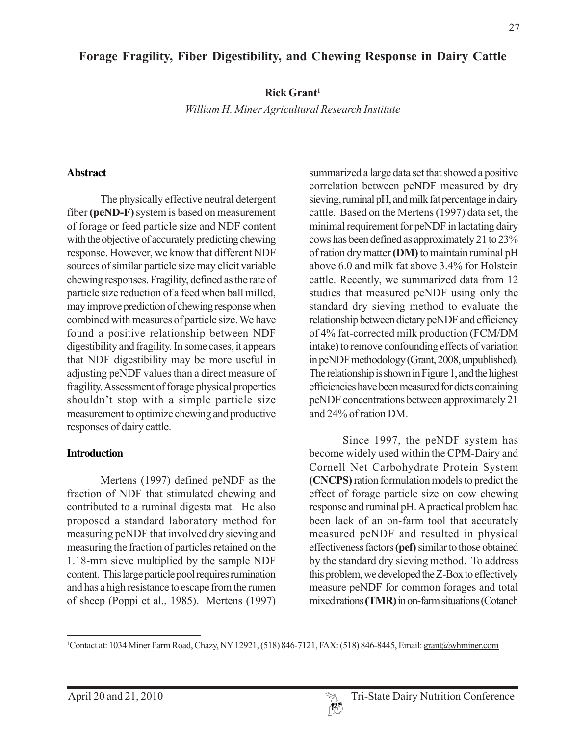# **Forage Fragility, Fiber Digestibility, and Chewing Response in Dairy Cattle**

**Rick Grant1**

*William H. Miner Agricultural Research Institute*

#### **Abstract**

The physically effective neutral detergent fiber **(peND-F)** system is based on measurement of forage or feed particle size and NDF content with the objective of accurately predicting chewing response. However, we know that different NDF sources of similar particle size may elicit variable chewing responses. Fragility, defined as the rate of particle size reduction of a feed when ball milled, may improve prediction of chewing response when combined with measures of particle size. We have found a positive relationship between NDF digestibility and fragility. In some cases, it appears that NDF digestibility may be more useful in adjusting peNDF values than a direct measure of fragility. Assessment of forage physical properties shouldn't stop with a simple particle size measurement to optimize chewing and productive responses of dairy cattle.

### **Introduction**

Mertens (1997) defined peNDF as the fraction of NDF that stimulated chewing and contributed to a ruminal digesta mat. He also proposed a standard laboratory method for measuring peNDF that involved dry sieving and measuring the fraction of particles retained on the 1.18-mm sieve multiplied by the sample NDF content. This large particle pool requires rumination and has a high resistance to escape from the rumen of sheep (Poppi et al., 1985). Mertens (1997) summarized a large data set that showed a positive correlation between peNDF measured by dry sieving, ruminal pH, and milk fat percentage in dairy cattle. Based on the Mertens (1997) data set, the minimal requirement for peNDF in lactating dairy cows has been defined as approximately 21 to 23% of ration dry matter **(DM)** to maintain ruminal pH above 6.0 and milk fat above 3.4% for Holstein cattle. Recently, we summarized data from 12 studies that measured peNDF using only the standard dry sieving method to evaluate the relationship between dietary peNDF and efficiency of 4% fat-corrected milk production (FCM/DM intake) to remove confounding effects of variation in peNDF methodology (Grant, 2008, unpublished). The relationship is shown in Figure 1, and the highest efficiencies have been measured for diets containing peNDF concentrations between approximately 21 and 24% of ration DM.

Since 1997, the peNDF system has become widely used within the CPM-Dairy and Cornell Net Carbohydrate Protein System **(CNCPS)** ration formulation models to predict the effect of forage particle size on cow chewing response and ruminal pH. A practical problem had been lack of an on-farm tool that accurately measured peNDF and resulted in physical effectiveness factors **(pef)** similar to those obtained by the standard dry sieving method. To address this problem, we developed the Z-Box to effectively measure peNDF for common forages and total mixed rations **(TMR)** in on-farm situations (Cotanch

<sup>&</sup>lt;sup>1</sup>Contact at: 1034 Miner Farm Road, Chazy, NY 12921, (518) 846-7121, FAX: (518) 846-8445, Email: grant@whminer.com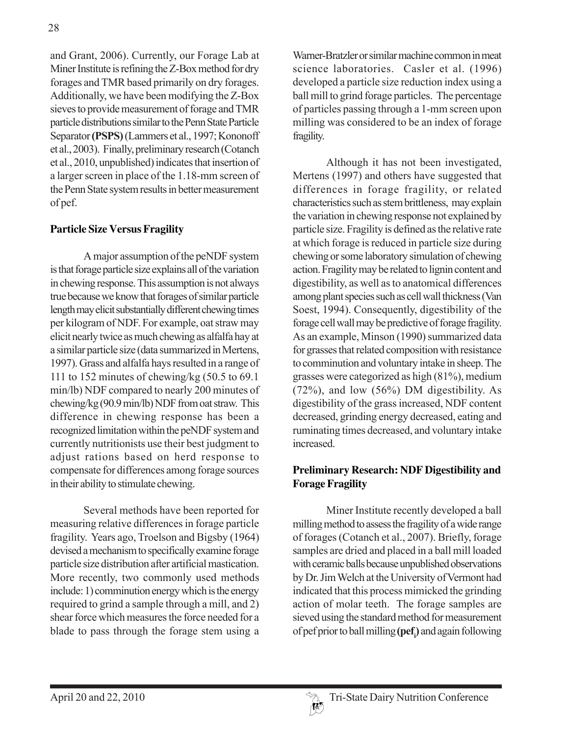and Grant, 2006). Currently, our Forage Lab at Miner Institute is refining the Z-Box method for dry forages and TMR based primarily on dry forages. Additionally, we have been modifying the Z-Box sieves to provide measurement of forage and TMR particle distributions similar to the Penn State Particle Separator **(PSPS)** (Lammers et al., 1997; Kononoff et al., 2003). Finally, preliminary research (Cotanch et al., 2010, unpublished) indicates that insertion of a larger screen in place of the 1.18-mm screen of the Penn State system results in better measurement of pef.

### **Particle Size Versus Fragility**

A major assumption of the peNDF system is that forage particle size explains all of the variation in chewing response. This assumption is not always true because we know that forages of similar particle length may elicit substantially different chewing times per kilogram of NDF. For example, oat straw may elicit nearly twice as much chewing as alfalfa hay at a similar particle size (data summarized in Mertens, 1997). Grass and alfalfa hays resulted in a range of 111 to 152 minutes of chewing/kg (50.5 to 69.1 min/lb) NDF compared to nearly 200 minutes of chewing/kg (90.9 min/lb) NDF from oat straw. This difference in chewing response has been a recognized limitation within the peNDF system and currently nutritionists use their best judgment to adjust rations based on herd response to compensate for differences among forage sources in their ability to stimulate chewing.

Several methods have been reported for measuring relative differences in forage particle fragility. Years ago, Troelson and Bigsby (1964) devised a mechanism to specifically examine forage particle size distribution after artificial mastication. More recently, two commonly used methods include: 1) comminution energy which is the energy required to grind a sample through a mill, and 2) shear force which measures the force needed for a blade to pass through the forage stem using a

Warner-Bratzler or similar machine common in meat science laboratories. Casler et al. (1996) developed a particle size reduction index using a ball mill to grind forage particles. The percentage of particles passing through a 1-mm screen upon milling was considered to be an index of forage fragility.

Although it has not been investigated, Mertens (1997) and others have suggested that differences in forage fragility, or related characteristics such as stem brittleness, may explain the variation in chewing response not explained by particle size. Fragility is defined as the relative rate at which forage is reduced in particle size during chewing or some laboratory simulation of chewing action. Fragility may be related to lignin content and digestibility, as well as to anatomical differences among plant species such as cell wall thickness (Van Soest, 1994). Consequently, digestibility of the forage cell wall may be predictive of forage fragility. As an example, Minson (1990) summarized data for grasses that related composition with resistance to comminution and voluntary intake in sheep. The grasses were categorized as high (81%), medium (72%), and low (56%) DM digestibility. As digestibility of the grass increased, NDF content decreased, grinding energy decreased, eating and ruminating times decreased, and voluntary intake increased.

## **Preliminary Research: NDF Digestibility and Forage Fragility**

Miner Institute recently developed a ball milling method to assess the fragility of a wide range of forages (Cotanch et al., 2007). Briefly, forage samples are dried and placed in a ball mill loaded with ceramic balls because unpublished observations by Dr. Jim Welch at the University of Vermont had indicated that this process mimicked the grinding action of molar teeth. The forage samples are sieved using the standard method for measurement of pef prior to ball milling **(pefi )** and again following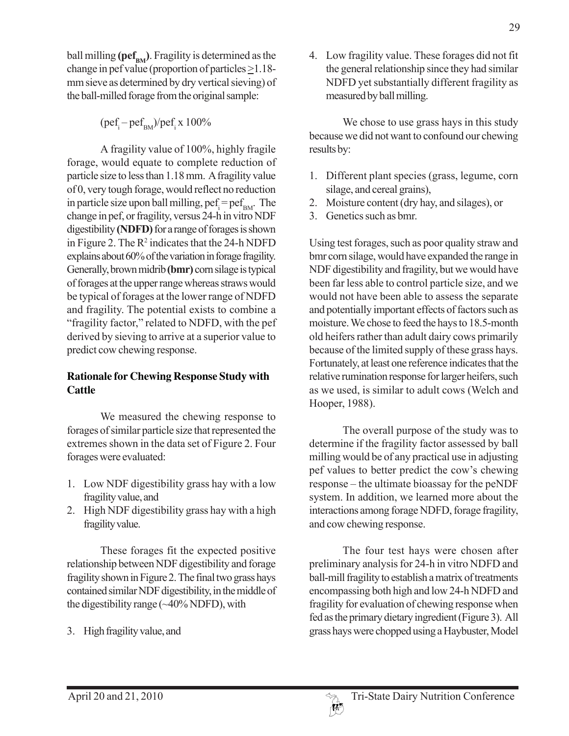ball milling  $(\text{ref}_{BM})$ . Fragility is determined as the change in pef value (proportion of particles  $\geq$ 1.18mm sieve as determined by dry vertical sieving) of the ball-milled forage from the original sample:

 $(\text{pcf}_{\text{i}}-\text{pcf}_{\text{BM}})/\text{pcf}_{\text{i}}$  x 100%

A fragility value of 100%, highly fragile forage, would equate to complete reduction of particle size to less than 1.18 mm. A fragility value of 0, very tough forage, would reflect no reduction in particle size upon ball milling,  $\text{pcf}_i = \text{pcf}_{\text{BM}}$ . The change in pef, or fragility, versus 24-h in vitro NDF digestibility **(NDFD)** for a range of forages is shown in Figure 2. The  $\mathbb{R}^2$  indicates that the 24-h NDFD explains about 60% of the variation in forage fragility. Generally, brown midrib **(bmr)** corn silage is typical of forages at the upper range whereas straws would be typical of forages at the lower range of NDFD and fragility. The potential exists to combine a "fragility factor," related to NDFD, with the pef derived by sieving to arrive at a superior value to predict cow chewing response.

## **Rationale for Chewing Response Study with Cattle**

We measured the chewing response to forages of similar particle size that represented the extremes shown in the data set of Figure 2. Four forages were evaluated:

- 1. Low NDF digestibility grass hay with a low fragility value, and
- 2. High NDF digestibility grass hay with a high fragility value.

These forages fit the expected positive relationship between NDF digestibility and forage fragility shown in Figure 2. The final two grass hays contained similar NDF digestibility, in the middle of the digestibility range  $(\sim40\%$  NDFD), with

3. High fragility value, and

4. Low fragility value. These forages did not fit the general relationship since they had similar NDFD yet substantially different fragility as measured by ball milling.

We chose to use grass hays in this study because we did not want to confound our chewing results by:

- 1. Different plant species (grass, legume, corn silage, and cereal grains),
- 2. Moisture content (dry hay, and silages), or
- 3. Genetics such as bmr.

Using test forages, such as poor quality straw and bmr corn silage, would have expanded the range in NDF digestibility and fragility, but we would have been far less able to control particle size, and we would not have been able to assess the separate and potentially important effects of factors such as moisture. We chose to feed the hays to 18.5-month old heifers rather than adult dairy cows primarily because of the limited supply of these grass hays. Fortunately, at least one reference indicates that the relative rumination response for larger heifers, such as we used, is similar to adult cows (Welch and Hooper, 1988).

The overall purpose of the study was to determine if the fragility factor assessed by ball milling would be of any practical use in adjusting pef values to better predict the cow's chewing response – the ultimate bioassay for the peNDF system. In addition, we learned more about the interactions among forage NDFD, forage fragility, and cow chewing response.

The four test hays were chosen after preliminary analysis for 24-h in vitro NDFD and ball-mill fragility to establish a matrix of treatments encompassing both high and low 24-h NDFD and fragility for evaluation of chewing response when fed as the primary dietary ingredient (Figure 3). All grass hays were chopped using a Haybuster, Model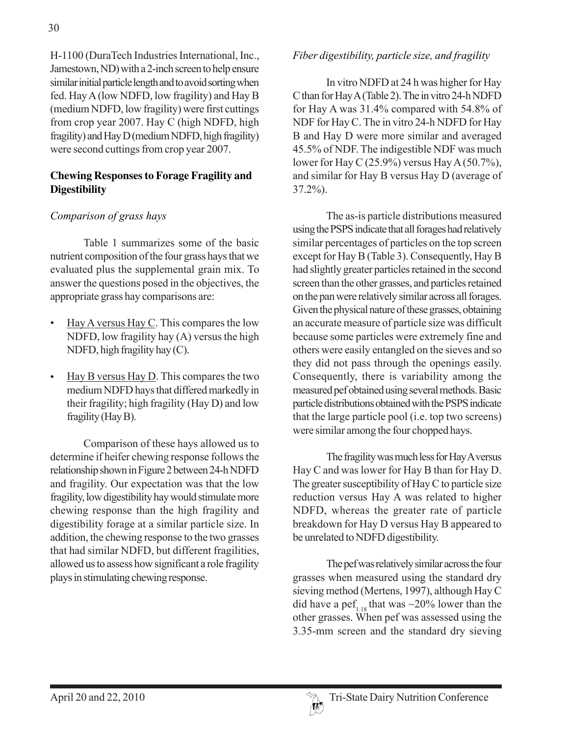H-1100 (DuraTech Industries International, Inc., Jamestown, ND) with a 2-inch screen to help ensure similar initial particle length and to avoid sorting when fed. Hay A (low NDFD, low fragility) and Hay B (medium NDFD, low fragility) were first cuttings from crop year 2007. Hay C (high NDFD, high fragility) and Hay D (medium NDFD, high fragility) were second cuttings from crop year 2007.

### **Chewing Responses to Forage Fragility and Digestibility**

## *Comparison of grass hays*

Table 1 summarizes some of the basic nutrient composition of the four grass hays that we evaluated plus the supplemental grain mix. To answer the questions posed in the objectives, the appropriate grass hay comparisons are:

- Hay A versus Hay C. This compares the low NDFD, low fragility hay (A) versus the high NDFD, high fragility hay (C).
- $\frac{\text{Hay B versus Hay D}}{\text{This compares the two}}$ medium NDFD hays that differed markedly in their fragility; high fragility (Hay D) and low fragility (Hay B).

Comparison of these hays allowed us to determine if heifer chewing response follows the relationship shown in Figure 2 between 24-h NDFD and fragility. Our expectation was that the low fragility, low digestibility hay would stimulate more chewing response than the high fragility and digestibility forage at a similar particle size. In addition, the chewing response to the two grasses that had similar NDFD, but different fragilities, allowed us to assess how significant a role fragility plays in stimulating chewing response.

## *Fiber digestibility, particle size, and fragility*

In vitro NDFD at 24 h was higher for Hay C than for Hay A (Table 2). The in vitro 24-h NDFD for Hay A was 31.4% compared with 54.8% of NDF for Hay C. The in vitro 24-h NDFD for Hay B and Hay D were more similar and averaged 45.5% of NDF. The indigestible NDF was much lower for Hay C (25.9%) versus Hay A (50.7%), and similar for Hay B versus Hay D (average of 37.2%).

The as-is particle distributions measured using the PSPS indicate that all forages had relatively similar percentages of particles on the top screen except for Hay B (Table 3). Consequently, Hay B had slightly greater particles retained in the second screen than the other grasses, and particles retained on the pan were relatively similar across all forages. Given the physical nature of these grasses, obtaining an accurate measure of particle size was difficult because some particles were extremely fine and others were easily entangled on the sieves and so they did not pass through the openings easily. Consequently, there is variability among the measured pef obtained using several methods. Basic particle distributions obtained with the PSPS indicate that the large particle pool (i.e. top two screens) were similar among the four chopped hays.

The fragility was much less for Hay A versus Hay C and was lower for Hay B than for Hay D. The greater susceptibility of Hay C to particle size reduction versus Hay A was related to higher NDFD, whereas the greater rate of particle breakdown for Hay D versus Hay B appeared to be unrelated to NDFD digestibility.

The pef was relatively similar across the four grasses when measured using the standard dry sieving method (Mertens, 1997), although Hay C did have a pef<sub>1.18</sub> that was  $\sim$ 20% lower than the other grasses. When pef was assessed using the 3.35-mm screen and the standard dry sieving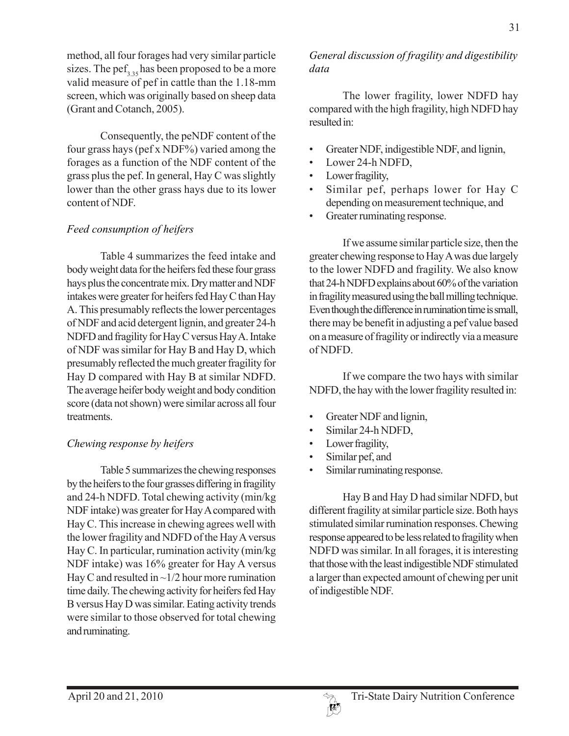Consequently, the peNDF content of the four grass hays (pef x NDF%) varied among the forages as a function of the NDF content of the grass plus the pef. In general, Hay C was slightly lower than the other grass hays due to its lower content of NDF.

## *Feed consumption of heifers*

Table 4 summarizes the feed intake and body weight data for the heifers fed these four grass hays plus the concentrate mix. Dry matter and NDF intakes were greater for heifers fed Hay C than Hay A. This presumably reflects the lower percentages of NDF and acid detergent lignin, and greater 24-h NDFD and fragility for Hay C versus Hay A. Intake of NDF was similar for Hay B and Hay D, which presumably reflected the much greater fragility for Hay D compared with Hay B at similar NDFD. The average heifer body weight and body condition score (data not shown) were similar across all four **treatments** 

### *Chewing response by heifers*

Table 5 summarizes the chewing responses by the heifers to the four grasses differing in fragility and 24-h NDFD. Total chewing activity (min/kg NDF intake) was greater for Hay A compared with Hay C. This increase in chewing agrees well with the lower fragility and NDFD of the Hay A versus Hay C. In particular, rumination activity (min/kg NDF intake) was 16% greater for Hay A versus Hay C and resulted in  $\sim$  1/2 hour more rumination time daily. The chewing activity for heifers fed Hay B versus Hay D was similar. Eating activity trends were similar to those observed for total chewing and ruminating.

### *General discussion of fragility and digestibility data*

The lower fragility, lower NDFD hay compared with the high fragility, high NDFD hay resulted in:

- Greater NDF, indigestible NDF, and lignin,
- Lower 24-h NDFD,
- Lower fragility,
- Similar pef, perhaps lower for Hay C depending on measurement technique, and
- Greater ruminating response.

If we assume similar particle size, then the greater chewing response to Hay A was due largely to the lower NDFD and fragility. We also know that 24-h NDFD explains about 60% of the variation in fragility measured using the ball milling technique. Even though the difference in rumination time is small, there may be benefit in adjusting a pef value based on a measure of fragility or indirectly via a measure of NDFD.

If we compare the two hays with similar NDFD, the hay with the lower fragility resulted in:

- Greater NDF and lignin,
- Similar 24-h NDFD,
- Lower fragility,
- Similar pef, and
- Similar ruminating response.

Hay B and Hay D had similar NDFD, but different fragility at similar particle size. Both hays stimulated similar rumination responses. Chewing response appeared to be less related to fragility when NDFD was similar. In all forages, it is interesting that those with the least indigestible NDF stimulated a larger than expected amount of chewing per unit of indigestible NDF.

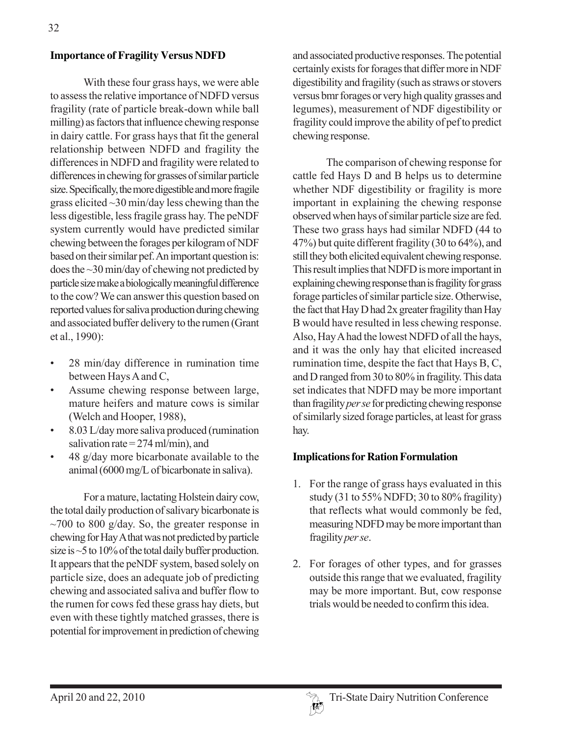#### **Importance of Fragility Versus NDFD**

With these four grass hays, we were able to assess the relative importance of NDFD versus fragility (rate of particle break-down while ball milling) as factors that influence chewing response in dairy cattle. For grass hays that fit the general relationship between NDFD and fragility the differences in NDFD and fragility were related to differences in chewing for grasses of similar particle size. Specifically, the more digestible and more fragile grass elicited  $\sim$ 30 min/day less chewing than the less digestible, less fragile grass hay. The peNDF system currently would have predicted similar chewing between the forages per kilogram of NDF based on their similar pef. An important question is: does the ~30 min/day of chewing not predicted by particle size make a biologically meaningful difference to the cow? We can answer this question based on reported values for saliva production during chewing and associated buffer delivery to the rumen (Grant et al., 1990):

- 28 min/day difference in rumination time between Hays A and C,
- Assume chewing response between large, mature heifers and mature cows is similar (Welch and Hooper, 1988),
- 8.03 L/day more saliva produced (rumination salivation rate  $= 274$  ml/min), and
- 48 g/day more bicarbonate available to the animal (6000 mg/L of bicarbonate in saliva).

For a mature, lactating Holstein dairy cow, the total daily production of salivary bicarbonate is  $\sim$ 700 to 800 g/day. So, the greater response in chewing for Hay A that was not predicted by particle size is ~5 to 10% of the total daily buffer production. It appears that the peNDF system, based solely on particle size, does an adequate job of predicting chewing and associated saliva and buffer flow to the rumen for cows fed these grass hay diets, but even with these tightly matched grasses, there is potential for improvement in prediction of chewing

and associated productive responses. The potential certainly exists for forages that differ more in NDF digestibility and fragility (such as straws or stovers versus bmr forages or very high quality grasses and legumes), measurement of NDF digestibility or fragility could improve the ability of pef to predict chewing response.

The comparison of chewing response for cattle fed Hays D and B helps us to determine whether NDF digestibility or fragility is more important in explaining the chewing response observed when hays of similar particle size are fed. These two grass hays had similar NDFD (44 to 47%) but quite different fragility (30 to 64%), and still they both elicited equivalent chewing response. This result implies that NDFD is more important in explaining chewing response than is fragility for grass forage particles of similar particle size. Otherwise, the fact that Hay D had 2x greater fragility than Hay B would have resulted in less chewing response. Also, Hay A had the lowest NDFD of all the hays, and it was the only hay that elicited increased rumination time, despite the fact that Hays B, C, and D ranged from 30 to 80% in fragility. This data set indicates that NDFD may be more important than fragility *per se* for predicting chewing response of similarly sized forage particles, at least for grass hay.

### **Implications for Ration Formulation**

- 1. For the range of grass hays evaluated in this study (31 to 55% NDFD; 30 to 80% fragility) that reflects what would commonly be fed, measuring NDFD may be more important than fragility *per se*.
- 2. For forages of other types, and for grasses outside this range that we evaluated, fragility may be more important. But, cow response trials would be needed to confirm this idea.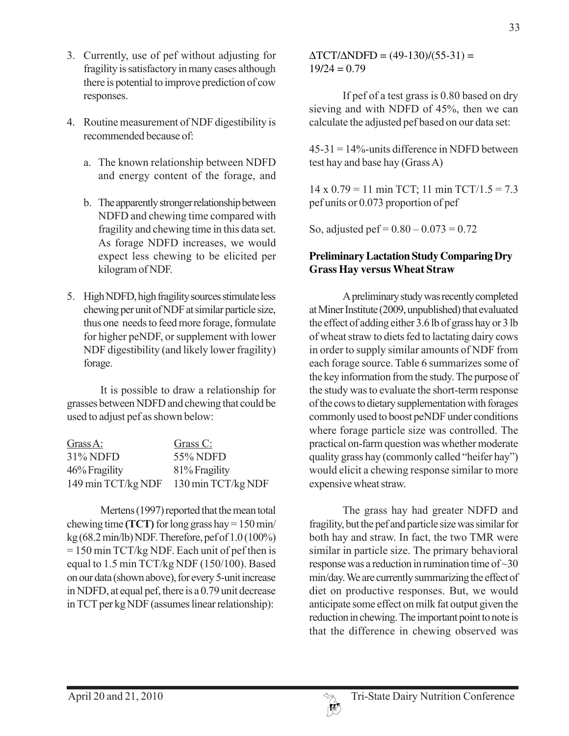- 3. Currently, use of pef without adjusting for fragility is satisfactory in many cases although there is potential to improve prediction of cow responses.
- 4. Routine measurement of NDF digestibility is recommended because of:
	- a. The known relationship between NDFD and energy content of the forage, and
	- b. The apparently stronger relationship between NDFD and chewing time compared with fragility and chewing time in this data set. As forage NDFD increases, we would expect less chewing to be elicited per kilogram of NDF.
- 5. High NDFD, high fragility sources stimulate less chewing per unit of NDF at similar particle size, thus one needs to feed more forage, formulate for higher peNDF, or supplement with lower NDF digestibility (and likely lower fragility) forage.

It is possible to draw a relationship for grasses between NDFD and chewing that could be used to adjust pef as shown below:

| $Grass A$ :        | Grass C:           |
|--------------------|--------------------|
| 31% NDFD           | 55% NDFD           |
| 46% Fragility      | 81% Fragility      |
| 149 min TCT/kg NDF | 130 min TCT/kg NDF |

Mertens (1997) reported that the mean total chewing time **(TCT)** for long grass hay = 150 min/ kg (68.2 min/lb) NDF. Therefore, pef of 1.0 (100%) = 150 min TCT/kg NDF. Each unit of pef then is equal to 1.5 min TCT/kg NDF (150/100). Based on our data (shown above), for every 5-unit increase in NDFD, at equal pef, there is a 0.79 unit decrease in TCT per kg NDF (assumes linear relationship):

 $\Delta$ TCT/ $\Delta$ NDFD = (49-130)/(55-31) =  $19/24 = 0.79$ 

If pef of a test grass is 0.80 based on dry sieving and with NDFD of 45%, then we can calculate the adjusted pef based on our data set:

45-31 = 14%-units difference in NDFD between test hay and base hay (Grass A)

14 x  $0.79 = 11$  min TCT; 11 min TCT/1.5 = 7.3 pef units or 0.073 proportion of pef

So, adjusted pef =  $0.80 - 0.073 = 0.72$ 

### **Preliminary Lactation Study Comparing Dry Grass Hay versus Wheat Straw**

A preliminary study was recently completed at Miner Institute (2009, unpublished) that evaluated the effect of adding either 3.6 lb of grass hay or 3 lb of wheat straw to diets fed to lactating dairy cows in order to supply similar amounts of NDF from each forage source. Table 6 summarizes some of the key information from the study. The purpose of the study was to evaluate the short-term response of the cows to dietary supplementation with forages commonly used to boost peNDF under conditions where forage particle size was controlled. The practical on-farm question was whether moderate quality grass hay (commonly called "heifer hay") would elicit a chewing response similar to more expensive wheat straw.

The grass hay had greater NDFD and fragility, but the pef and particle size was similar for both hay and straw. In fact, the two TMR were similar in particle size. The primary behavioral response was a reduction in rumination time of ~30 min/day. We are currently summarizing the effect of diet on productive responses. But, we would anticipate some effect on milk fat output given the reduction in chewing. The important point to note is that the difference in chewing observed was

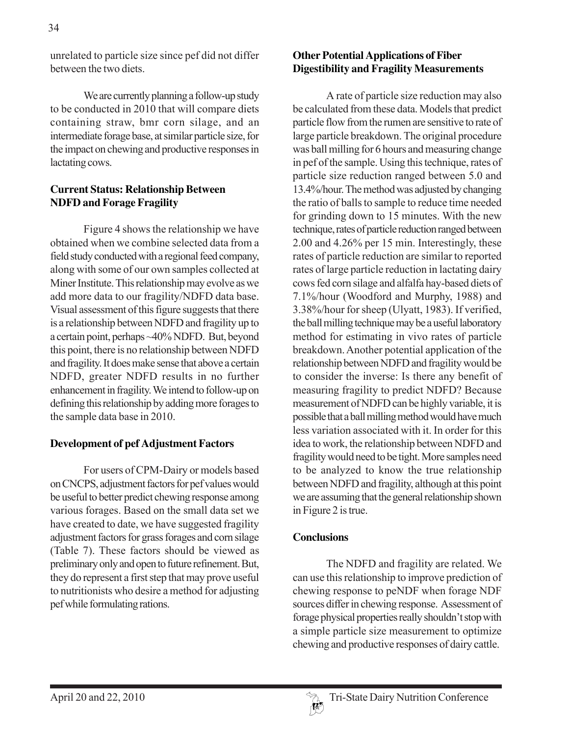unrelated to particle size since pef did not differ between the two diets.

We are currently planning a follow-up study to be conducted in 2010 that will compare diets containing straw, bmr corn silage, and an intermediate forage base, at similar particle size, for the impact on chewing and productive responses in lactating cows.

### **Current Status: Relationship Between NDFD and Forage Fragility**

Figure 4 shows the relationship we have obtained when we combine selected data from a field study conducted with a regional feed company, along with some of our own samples collected at Miner Institute. This relationship may evolve as we add more data to our fragility/NDFD data base. Visual assessment of this figure suggests that there is a relationship between NDFD and fragility up to a certain point, perhaps ~40% NDFD. But, beyond this point, there is no relationship between NDFD and fragility. It does make sense that above a certain NDFD, greater NDFD results in no further enhancement in fragility. We intend to follow-up on defining this relationship by adding more forages to the sample data base in 2010.

### **Development of pef Adjustment Factors**

For users of CPM-Dairy or models based on CNCPS, adjustment factors for pef values would be useful to better predict chewing response among various forages. Based on the small data set we have created to date, we have suggested fragility adjustment factors for grass forages and corn silage (Table 7). These factors should be viewed as preliminary only and open to future refinement. But, they do represent a first step that may prove useful to nutritionists who desire a method for adjusting pef while formulating rations.

### **Other Potential Applications of Fiber Digestibility and Fragility Measurements**

A rate of particle size reduction may also be calculated from these data. Models that predict particle flow from the rumen are sensitive to rate of large particle breakdown. The original procedure was ball milling for 6 hours and measuring change in pef of the sample. Using this technique, rates of particle size reduction ranged between 5.0 and 13.4%/hour. The method was adjusted by changing the ratio of balls to sample to reduce time needed for grinding down to 15 minutes. With the new technique, rates of particle reduction ranged between 2.00 and 4.26% per 15 min. Interestingly, these rates of particle reduction are similar to reported rates of large particle reduction in lactating dairy cows fed corn silage and alfalfa hay-based diets of 7.1%/hour (Woodford and Murphy, 1988) and 3.38%/hour for sheep (Ulyatt, 1983). If verified, the ball milling technique may be a useful laboratory method for estimating in vivo rates of particle breakdown. Another potential application of the relationship between NDFD and fragility would be to consider the inverse: Is there any benefit of measuring fragility to predict NDFD? Because measurement of NDFD can be highly variable, it is possible that a ball milling method would have much less variation associated with it. In order for this idea to work, the relationship between NDFD and fragility would need to be tight. More samples need to be analyzed to know the true relationship between NDFD and fragility, although at this point we are assuming that the general relationship shown in Figure 2 is true.

### **Conclusions**

The NDFD and fragility are related. We can use this relationship to improve prediction of chewing response to peNDF when forage NDF sources differ in chewing response. Assessment of forage physical properties really shouldn't stop with a simple particle size measurement to optimize chewing and productive responses of dairy cattle.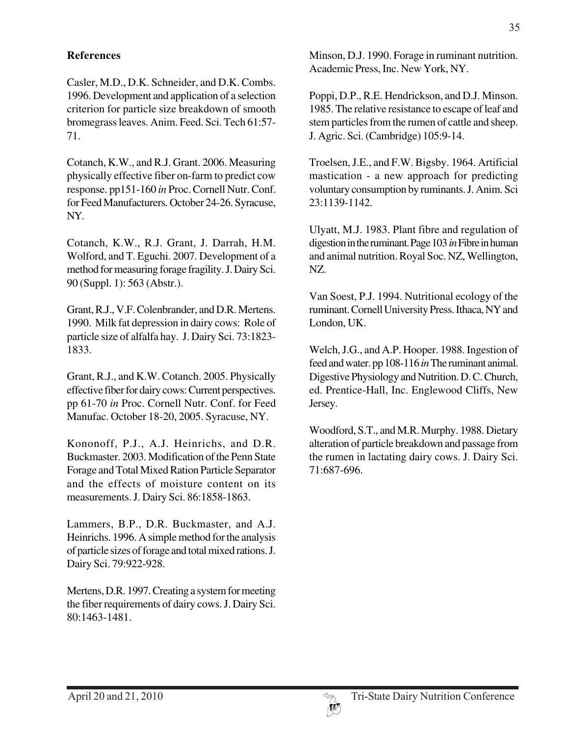#### **References**

Casler, M.D., D.K. Schneider, and D.K. Combs. 1996. Development and application of a selection criterion for particle size breakdown of smooth bromegrass leaves. Anim. Feed. Sci. Tech 61:57- 71.

Cotanch, K.W., and R.J. Grant. 2006. Measuring physically effective fiber on-farm to predict cow response. pp151-160 *in* Proc. Cornell Nutr. Conf. for Feed Manufacturers. October 24-26. Syracuse, NY.

Cotanch, K.W., R.J. Grant, J. Darrah, H.M. Wolford, and T. Eguchi. 2007. Development of a method for measuring forage fragility. J. Dairy Sci. 90 (Suppl. 1): 563 (Abstr.).

Grant, R.J., V.F. Colenbrander, and D.R. Mertens. 1990. Milk fat depression in dairy cows: Role of particle size of alfalfa hay. J. Dairy Sci. 73:1823- 1833.

Grant, R.J., and K.W. Cotanch. 2005. Physically effective fiber for dairy cows: Current perspectives. pp 61-70 *in* Proc. Cornell Nutr. Conf. for Feed Manufac. October 18-20, 2005. Syracuse, NY.

Kononoff, P.J., A.J. Heinrichs, and D.R. Buckmaster. 2003. Modification of the Penn State Forage and Total Mixed Ration Particle Separator and the effects of moisture content on its measurements. J. Dairy Sci. 86:1858-1863.

Lammers, B.P., D.R. Buckmaster, and A.J. Heinrichs. 1996. A simple method for the analysis of particle sizes of forage and total mixed rations. J. Dairy Sci. 79:922-928.

Mertens, D.R. 1997. Creating a system for meeting the fiber requirements of dairy cows. J. Dairy Sci. 80:1463-1481.

Minson, D.J. 1990. Forage in ruminant nutrition. Academic Press, Inc. New York, NY.

Poppi, D.P., R.E. Hendrickson, and D.J. Minson. 1985. The relative resistance to escape of leaf and stem particles from the rumen of cattle and sheep. J. Agric. Sci. (Cambridge) 105:9-14.

Troelsen, J.E., and F.W. Bigsby. 1964. Artificial mastication - a new approach for predicting voluntary consumption by ruminants. J. Anim. Sci 23:1139-1142.

Ulyatt, M.J. 1983. Plant fibre and regulation of digestion in the ruminant. Page 103 *in* Fibre in human and animal nutrition. Royal Soc. NZ, Wellington, NZ.

Van Soest, P.J. 1994. Nutritional ecology of the ruminant. Cornell University Press. Ithaca, NY and London, UK.

Welch, J.G., and A.P. Hooper. 1988. Ingestion of feed and water. pp 108-116 *in* The ruminant animal. Digestive Physiology and Nutrition. D. C. Church, ed. Prentice-Hall, Inc. Englewood Cliffs, New Jersey.

Woodford, S.T., and M.R. Murphy. 1988. Dietary alteration of particle breakdown and passage from the rumen in lactating dairy cows. J. Dairy Sci. 71:687-696.

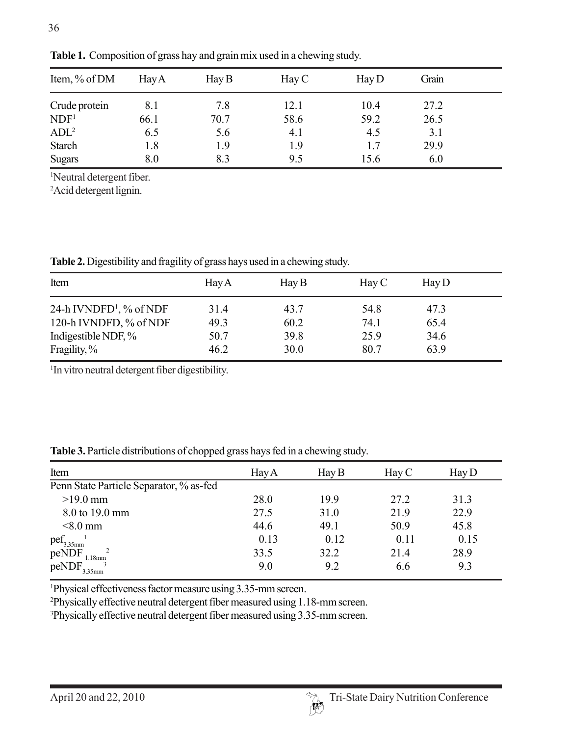| Item, % of DM    | <b>Hay A</b> | $\rm\,Hay\,B$ | $\rm{Hay}$ C | $\rm\,Hay\,D$ | Grain |  |
|------------------|--------------|---------------|--------------|---------------|-------|--|
| Crude protein    | 8.1          | 7.8           | 12.1         | 10.4          | 27.2  |  |
| NDF <sup>1</sup> | 66.1         | 70.7          | 58.6         | 59.2          | 26.5  |  |
| ADL <sup>2</sup> | 6.5          | 5.6           | 4.1          | 4.5           | 3.1   |  |
| <b>Starch</b>    | 1.8          | 1.9           | 1.9          | 1.7           | 29.9  |  |
| <b>Sugars</b>    | 8.0          | 8.3           | 9.5          | 15.6          | 6.0   |  |

**Table 1.** Composition of grass hay and grain mix used in a chewing study.

1 Neutral detergent fiber.

2 Acid detergent lignin.

**Table 2.** Digestibility and fragility of grass hays used in a chewing study.

| Item                                | <b>Hay A</b> | $\rm\,Hay\,B$ | $\rm{Hay}$ C | $\rm\,Hay\,D$ |  |
|-------------------------------------|--------------|---------------|--------------|---------------|--|
| 24-h IVNDFD <sup>1</sup> , % of NDF | 31.4         | 43.7          | 54.8         | 47.3          |  |
| 120-h IVNDFD, % of NDF              | 49.3         | 60.2          | 74.1         | 65.4          |  |
| Indigestible NDF, %                 | 50.7         | 39.8          | 25.9         | 34.6          |  |
| Fragility, %                        | 46.2         | 30.0          | 80.7         | 63.9          |  |

1 In vitro neutral detergent fiber digestibility.

| Item                                    | <b>Hay A</b> | $\rm\,Hay\,B$ | $\rm\,Hay\,C$ | $\rm\,Hay\,D$ |
|-----------------------------------------|--------------|---------------|---------------|---------------|
| Penn State Particle Separator, % as-fed |              |               |               |               |
| $>19.0$ mm                              | 28.0         | 19.9          | 27.2          | 31.3          |
| 8.0 to 19.0 mm                          | 27.5         | 31.0          | 21.9          | 22.9          |
| $< 8.0$ mm                              | 44.6         | 49.1          | 50.9          | 45.8          |
| $\text{pcf}_{3.35\text{mm}}^{\text{I}}$ | 0.13         | 0.12          | 0.11          | 0.15          |
| peNDF<br>$1.18$ mm                      | 33.5         | 32.2          | 21.4          | 28.9          |
| peNDF<br>3.35mm                         | 9.0          | 9.2           | 6.6           | 9.3           |

**Table 3.** Particle distributions of chopped grass hays fed in a chewing study.

1 Physical effectiveness factor measure using 3.35-mm screen.

2 Physically effective neutral detergent fiber measured using 1.18-mm screen.

3 Physically effective neutral detergent fiber measured using 3.35-mm screen.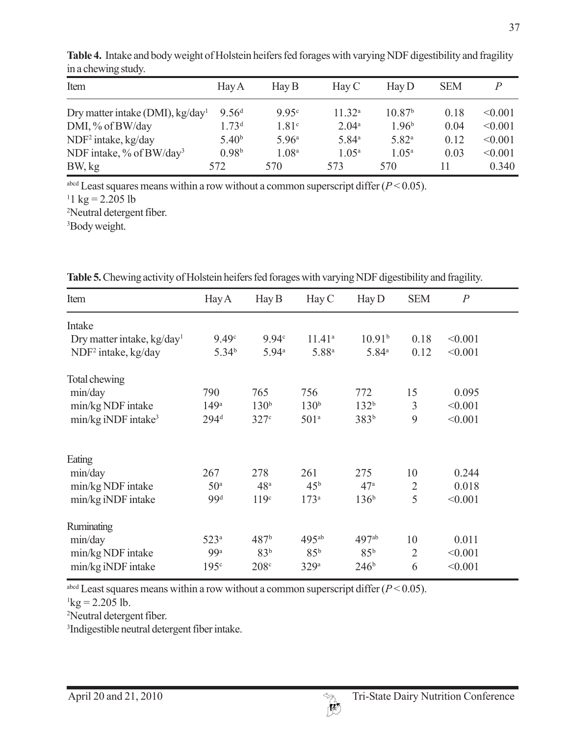| Item                                         | Hay A             | $\rm\,Hay\,B$     | $\rm\,Hay\,C$     | $\rm\,Hay\,D$      | <b>SEM</b> |         |
|----------------------------------------------|-------------------|-------------------|-------------------|--------------------|------------|---------|
| Dry matter intake (DMI), kg/day <sup>1</sup> | 9.56 <sup>d</sup> | 9.95c             | $11.32^{a}$       | 10.87 <sup>b</sup> | 0.18       | < 0.001 |
| DMI, % of BW/day                             | 1.73 <sup>d</sup> | 1.81 <sup>c</sup> | 2.04 <sup>a</sup> | 1.96 <sup>b</sup>  | 0.04       | < 0.001 |
| NDF <sup>2</sup> intake, kg/day              | 5.40 <sup>b</sup> | 5.96 <sup>a</sup> | 5.84 <sup>a</sup> | $5.82^{a}$         | 0.12       | < 0.001 |
| NDF intake, $\%$ of BW/day <sup>3</sup>      | 0.98 <sup>b</sup> | 1.08 <sup>a</sup> | 1.05 <sup>a</sup> | $1.05^{\rm a}$     | 0.03       | < 0.001 |
| BW, kg                                       | 572               | 570               | 573               | 570                | 11         | 0.340   |

**Table 4.** Intake and body weight of Holstein heifers fed forages with varying NDF digestibility and fragility in a chewing study.

<sup>abcd</sup> Least squares means within a row without a common superscript differ  $(P < 0.05)$ .  $11 \text{ kg} = 2.205 \text{ lb}$ 2 Neutral detergent fiber.

3 Body weight.

| Item                            | Hay A             | $\rm\,Hay\,B$    | Hay C              | $\text{Hay }D$     | <b>SEM</b>     | $\boldsymbol{P}$ |
|---------------------------------|-------------------|------------------|--------------------|--------------------|----------------|------------------|
| Intake                          |                   |                  |                    |                    |                |                  |
| Dry matter intake, $kg/day1$    | 9.49 <sup>c</sup> | 9.94c            | 11.41 <sup>a</sup> | 10.91 <sup>b</sup> | 0.18           | < 0.001          |
| NDF <sup>2</sup> intake, kg/day | 5.34 <sup>b</sup> | $5.94^{\circ}$   | 5.88 <sup>a</sup>  | 5.84 <sup>a</sup>  | 0.12           | < 0.001          |
| Total chewing                   |                   |                  |                    |                    |                |                  |
| min/day                         | 790               | 765              | 756                | 772                | 15             | 0.095            |
| min/kg NDF intake               | 149 <sup>a</sup>  | 130 <sup>b</sup> | 130 <sup>b</sup>   | 132 <sup>b</sup>   | 3              | < 0.001          |
| min/kg iNDF intake <sup>3</sup> | 294 <sup>d</sup>  | 327c             | 501 <sup>a</sup>   | 383 <sup>b</sup>   | 9              | < 0.001          |
| Eating                          |                   |                  |                    |                    |                |                  |
| min/day                         | 267               | 278              | 261                | 275                | 10             | 0.244            |
| min/kg NDF intake               | 50 <sup>a</sup>   | 48 <sup>a</sup>  | 45 <sup>b</sup>    | 47 <sup>a</sup>    | $\overline{2}$ | 0.018            |
| min/kg iNDF intake              | 99 <sup>d</sup>   | 119 <sup>c</sup> | 173 <sup>a</sup>   | 136 <sup>b</sup>   | 5              | < 0.001          |
| <b>Ruminating</b>               |                   |                  |                    |                    |                |                  |
| min/day                         | 523 <sup>a</sup>  | 487 <sup>b</sup> | $495^{ab}$         | 497 <sup>ab</sup>  | 10             | 0.011            |
| min/kg NDF intake               | 99 <sup>a</sup>   | 83 <sup>b</sup>  | 85 <sup>b</sup>    | 85 <sup>b</sup>    | $\overline{2}$ | < 0.001          |
| min/kg iNDF intake              | 195 <sup>c</sup>  | 208c             | 329a               | 246 <sup>b</sup>   | 6              | < 0.001          |

**Table 5.** Chewing activity of Holstein heifers fed forages with varying NDF digestibility and fragility.

<sup>abcd</sup> Least squares means within a row without a common superscript differ  $(P < 0.05)$ .

 $\log$  = 2.205 lb.

2 Neutral detergent fiber.

3 Indigestible neutral detergent fiber intake.

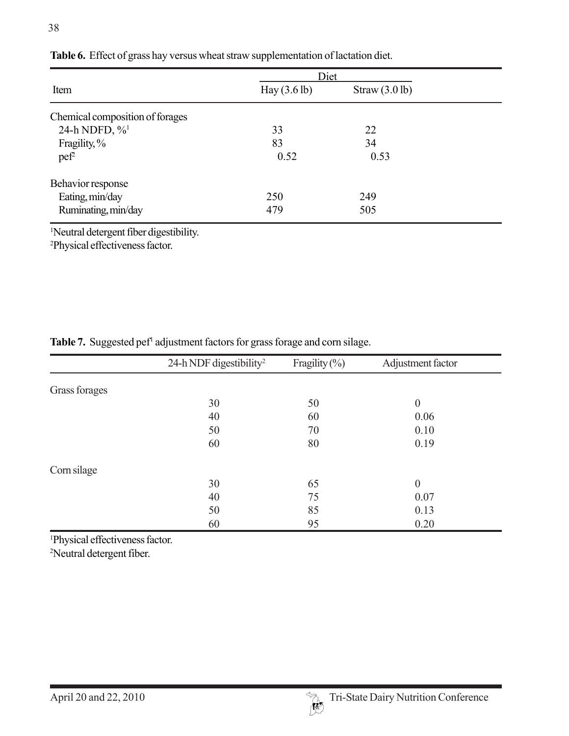| Diet                   |               |
|------------------------|---------------|
| Hay $(3.6 \text{ lb})$ | Straw(3.0 lb) |
|                        |               |
| 33                     | 22            |
| 83                     | 34            |
| 0.52                   | 0.53          |
|                        |               |
| 250                    | 249           |
| 479                    | 505           |
|                        |               |

#### **Table 6.** Effect of grass hay versus wheat straw supplementation of lactation diet.

1 Neutral detergent fiber digestibility.

2 Physical effectiveness factor.

|               | 24-h NDF digestibility <sup>2</sup> | Fragility $(\% )$ | Adjustment factor |  |
|---------------|-------------------------------------|-------------------|-------------------|--|
| Grass forages |                                     |                   |                   |  |
|               | 30                                  | 50                | $\boldsymbol{0}$  |  |
|               | 40                                  | 60                | 0.06              |  |
|               | 50                                  | 70                | 0.10              |  |
|               | 60                                  | 80                | 0.19              |  |
| Corn silage   |                                     |                   |                   |  |
|               | 30                                  | 65                | $\boldsymbol{0}$  |  |
|               | 40                                  | 75                | 0.07              |  |
|               | 50                                  | 85                | 0.13              |  |
|               | 60                                  | 95                | 0.20              |  |

Table 7. Suggested pef<sup>1</sup> adjustment factors for grass forage and corn silage.

1 Physical effectiveness factor.

2 Neutral detergent fiber.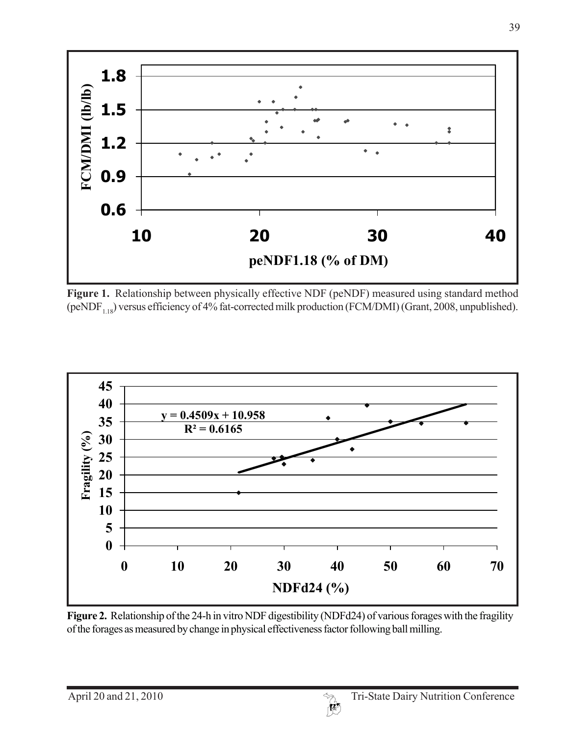

**Figure 1.** Relationship between physically effective NDF (peNDF) measured using standard method (peNDF<sub>1.18</sub>) versus efficiency of 4% fat-corrected milk production (FCM/DMI) (Grant, 2008, unpublished).



**Figure 2.** Relationship of the 24-h in vitro NDF digestibility (NDFd24) of various forages with the fragility of the forages as measured by change in physical effectiveness factor following ball milling.